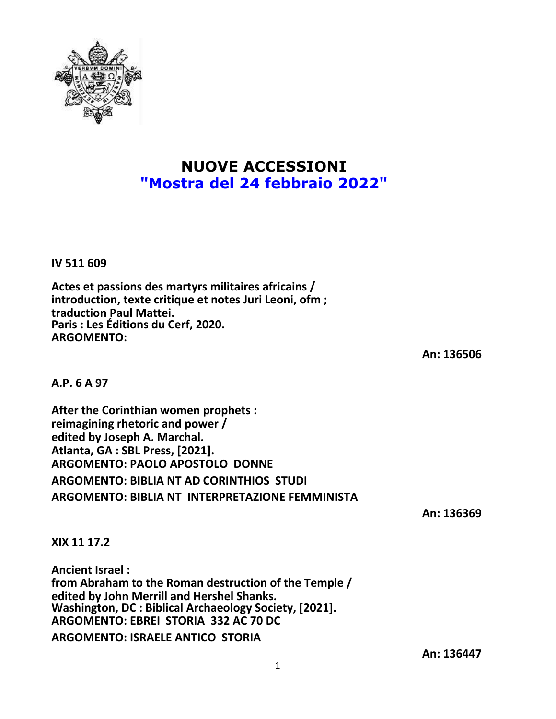

## **NUOVE ACCESSIONI "Mostra del 24 febbraio 2022"**

**IV 511 609**

**Actes et passions des martyrs militaires africains / introduction, texte critique et notes Juri Leoni, ofm ; traduction Paul Mattei. Paris : Les Éditions du Cerf, 2020. ARGOMENTO:**

**An: 136506**

**A.P. 6 A 97**

**After the Corinthian women prophets : reimagining rhetoric and power / edited by Joseph A. Marchal. Atlanta, GA : SBL Press, [2021]. ARGOMENTO: PAOLO APOSTOLO DONNE ARGOMENTO: BIBLIA NT AD CORINTHIOS STUDI ARGOMENTO: BIBLIA NT INTERPRETAZIONE FEMMINISTA**

**An: 136369**

**XIX 11 17.2**

**Ancient Israel : from Abraham to the Roman destruction of the Temple / edited by John Merrill and Hershel Shanks. Washington, DC : Biblical Archaeology Society, [2021]. ARGOMENTO: EBREI STORIA 332 AC 70 DC**

**ARGOMENTO: ISRAELE ANTICO STORIA**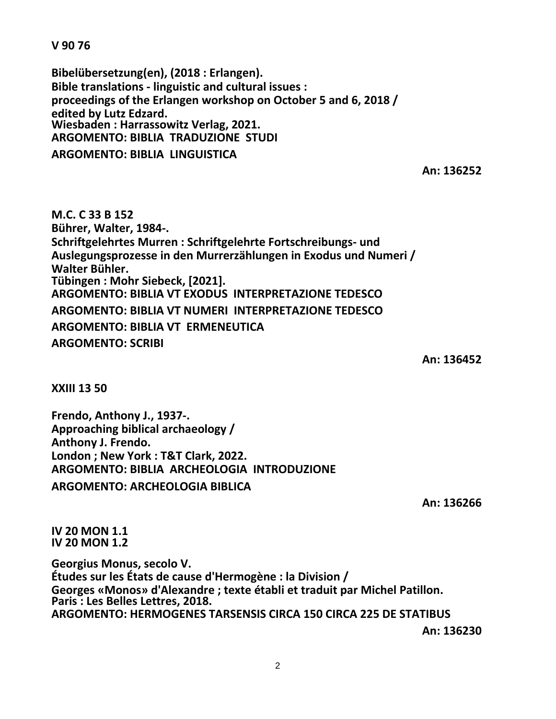**V 90 76**

**Bibelübersetzung(en), (2018 : Erlangen). Bible translations - linguistic and cultural issues : proceedings of the Erlangen workshop on October 5 and 6, 2018 / edited by Lutz Edzard. Wiesbaden : Harrassowitz Verlag, 2021. ARGOMENTO: BIBLIA TRADUZIONE STUDI**

**ARGOMENTO: BIBLIA LINGUISTICA**

**An: 136252**

**M.C. C 33 B 152 Bührer, Walter, 1984-. Schriftgelehrtes Murren : Schriftgelehrte Fortschreibungs- und Auslegungsprozesse in den Murrerzählungen in Exodus und Numeri / Walter Bühler. Tübingen : Mohr Siebeck, [2021]. ARGOMENTO: BIBLIA VT EXODUS INTERPRETAZIONE TEDESCO ARGOMENTO: BIBLIA VT NUMERI INTERPRETAZIONE TEDESCO ARGOMENTO: BIBLIA VT ERMENEUTICA ARGOMENTO: SCRIBI**

**An: 136452**

**XXIII 13 50**

**Frendo, Anthony J., 1937-. Approaching biblical archaeology / Anthony J. Frendo. London ; New York : T&T Clark, 2022. ARGOMENTO: BIBLIA ARCHEOLOGIA INTRODUZIONE ARGOMENTO: ARCHEOLOGIA BIBLICA**

**An: 136266**

**IV 20 MON 1.1 IV 20 MON 1.2**

**Georgius Monus, secolo V. Études sur les États de cause d'Hermogène : la Division / Georges «Monos» d'Alexandre ; texte établi et traduit par Michel Patillon. Paris : Les Belles Lettres, 2018. ARGOMENTO: HERMOGENES TARSENSIS CIRCA 150 CIRCA 225 DE STATIBUS**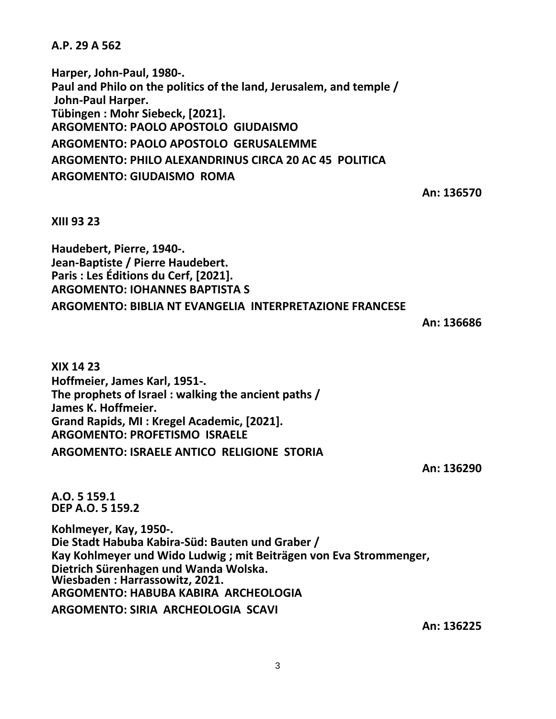**A.P. 29 A 562**

**Harper, John-Paul, 1980-. Paul and Philo on the politics of the land, Jerusalem, and temple / John-Paul Harper. Tübingen : Mohr Siebeck, [2021]. ARGOMENTO: PAOLO APOSTOLO GIUDAISMO ARGOMENTO: PAOLO APOSTOLO GERUSALEMME ARGOMENTO: PHILO ALEXANDRINUS CIRCA 20 AC 45 POLITICA ARGOMENTO: GIUDAISMO ROMA**

**An: 136570**

**XIII 93 23**

**Haudebert, Pierre, 1940-. Jean-Baptiste / Pierre Haudebert. Paris : Les Éditions du Cerf, [2021]. ARGOMENTO: IOHANNES BAPTISTA S ARGOMENTO: BIBLIA NT EVANGELIA INTERPRETAZIONE FRANCESE**

**An: 136686**

**XIX 14 23 Hoffmeier, James Karl, 1951-. The prophets of Israel : walking the ancient paths / James K. Hoffmeier. Grand Rapids, MI : Kregel Academic, [2021]. ARGOMENTO: PROFETISMO ISRAELE ARGOMENTO: ISRAELE ANTICO RELIGIONE STORIA**

**An: 136290**

**A.O. 5 159.1 DEP A.O. 5 159.2**

**Kohlmeyer, Kay, 1950-. Die Stadt Habuba Kabira-Süd: Bauten und Graber / Kay Kohlmeyer und Wido Ludwig ; mit Beiträgen von Eva Strommenger, Dietrich Sürenhagen und Wanda Wolska. Wiesbaden : Harrassowitz, 2021. ARGOMENTO: HABUBA KABIRA ARCHEOLOGIA ARGOMENTO: SIRIA ARCHEOLOGIA SCAVI**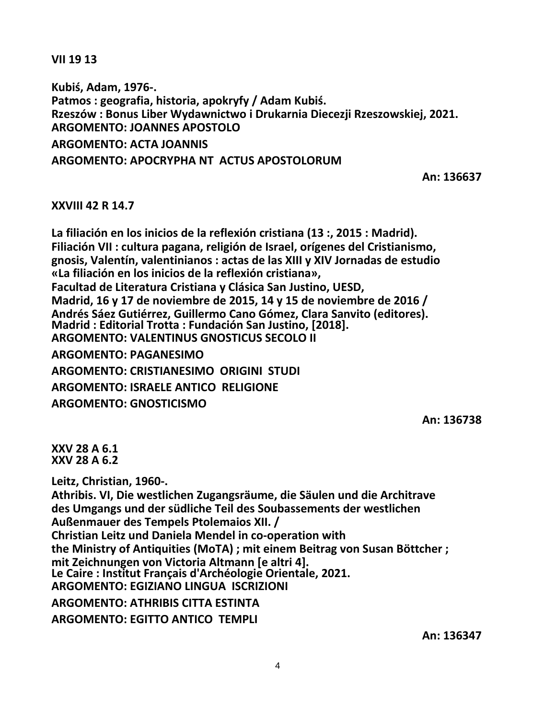**VII 19 13**

**Kubiś, Adam, 1976-. Patmos : geografia, historia, apokryfy / Adam Kubiś. Rzeszów : Bonus Liber Wydawnictwo i Drukarnia Diecezji Rzeszowskiej, 2021. ARGOMENTO: JOANNES APOSTOLO ARGOMENTO: ACTA JOANNIS ARGOMENTO: APOCRYPHA NT ACTUS APOSTOLORUM**

**An: 136637**

## **XXVIII 42 R 14.7**

**La filiación en los inicios de la reflexión cristiana (13 :, 2015 : Madrid). Filiación VII : cultura pagana, religión de Israel, orígenes del Cristianismo, gnosis, Valentín, valentinianos : actas de las XIII y XIV Jornadas de estudio «La filiación en los inicios de la reflexión cristiana», Facultad de Literatura Cristiana y Clásica San Justino, UESD, Madrid, 16 y 17 de noviembre de 2015, 14 y 15 de noviembre de 2016 / Andrés Sáez Gutiérrez, Guillermo Cano Gómez, Clara Sanvito (editores). Madrid : Editorial Trotta : Fundación San Justino, [2018]. ARGOMENTO: VALENTINUS GNOSTICUS SECOLO II ARGOMENTO: PAGANESIMO**

**ARGOMENTO: CRISTIANESIMO ORIGINI STUDI ARGOMENTO: ISRAELE ANTICO RELIGIONE ARGOMENTO: GNOSTICISMO**

**An: 136738**

**XXV 28 A 6.1 XXV 28 A 6.2**

**Leitz, Christian, 1960-.**

**Athribis. VI, Die westlichen Zugangsräume, die Säulen und die Architrave des Umgangs und der südliche Teil des Soubassements der westlichen Außenmauer des Tempels Ptolemaios XII. / Christian Leitz und Daniela Mendel in co-operation with the Ministry of Antiquities (MoTA) ; mit einem Beitrag von Susan Böttcher ; mit Zeichnungen von Victoria Altmann [e altri 4]. Le Caire : Institut Français d'Archéologie Orientale, 2021. ARGOMENTO: EGIZIANO LINGUA ISCRIZIONI**

**ARGOMENTO: ATHRIBIS CITTA ESTINTA**

**ARGOMENTO: EGITTO ANTICO TEMPLI**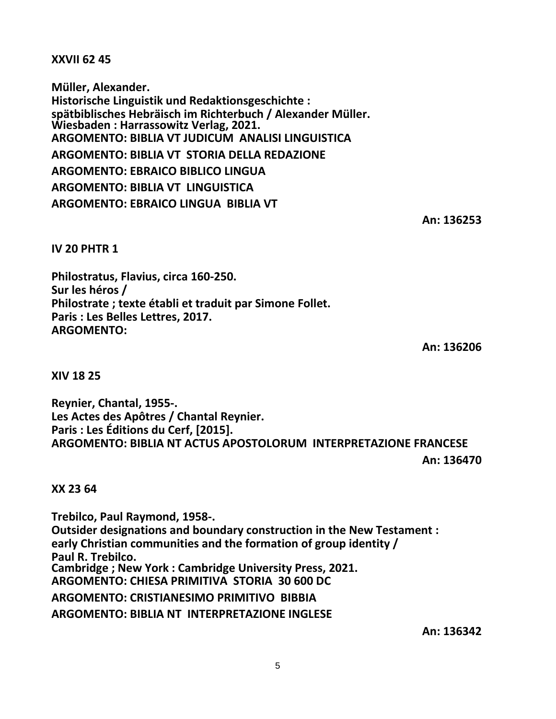**XXVII 62 45**

**Müller, Alexander. Historische Linguistik und Redaktionsgeschichte : spätbiblisches Hebräisch im Richterbuch / Alexander Müller. Wiesbaden : Harrassowitz Verlag, 2021. ARGOMENTO: BIBLIA VT JUDICUM ANALISI LINGUISTICA ARGOMENTO: BIBLIA VT STORIA DELLA REDAZIONE ARGOMENTO: EBRAICO BIBLICO LINGUA ARGOMENTO: BIBLIA VT LINGUISTICA ARGOMENTO: EBRAICO LINGUA BIBLIA VT**

**An: 136253**

**IV 20 PHTR 1**

**Philostratus, Flavius, circa 160-250. Sur les héros / Philostrate ; texte établi et traduit par Simone Follet. Paris : Les Belles Lettres, 2017. ARGOMENTO:**

**An: 136206**

**XIV 18 25**

**Reynier, Chantal, 1955-. Les Actes des Apôtres / Chantal Reynier. Paris : Les Éditions du Cerf, [2015]. ARGOMENTO: BIBLIA NT ACTUS APOSTOLORUM INTERPRETAZIONE FRANCESE**

**An: 136470**

**XX 23 64**

**Trebilco, Paul Raymond, 1958-. Outsider designations and boundary construction in the New Testament : early Christian communities and the formation of group identity / Paul R. Trebilco. Cambridge ; New York : Cambridge University Press, 2021. ARGOMENTO: CHIESA PRIMITIVA STORIA 30 600 DC ARGOMENTO: CRISTIANESIMO PRIMITIVO BIBBIA ARGOMENTO: BIBLIA NT INTERPRETAZIONE INGLESE**